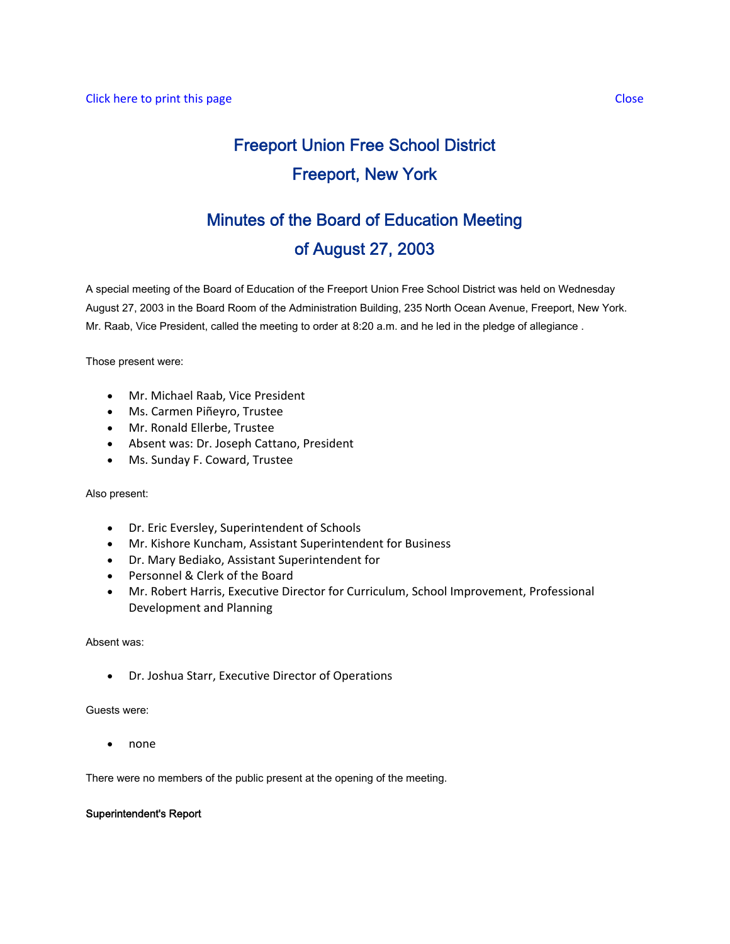# Freeport Union Free School District Freeport, New York

## Minutes of the Board of Education Meeting of August 27, 2003

A special meeting of the Board of Education of the Freeport Union Free School District was held on Wednesday August 27, 2003 in the Board Room of the Administration Building, 235 North Ocean Avenue, Freeport, New York. Mr. Raab, Vice President, called the meeting to order at 8:20 a.m. and he led in the pledge of allegiance .

Those present were:

- Mr. Michael Raab, Vice President
- Ms. Carmen Piñeyro, Trustee
- Mr. Ronald Ellerbe, Trustee
- Absent was: Dr. Joseph Cattano, President
- Ms. Sunday F. Coward, Trustee

#### Also present:

- Dr. Eric Eversley, Superintendent of Schools
- Mr. Kishore Kuncham, Assistant Superintendent for Business
- Dr. Mary Bediako, Assistant Superintendent for
- Personnel & Clerk of the Board
- Mr. Robert Harris, Executive Director for Curriculum, School Improvement, Professional Development and Planning

#### Absent was:

• Dr. Joshua Starr, Executive Director of Operations

#### Guests were:

• none

There were no members of the public present at the opening of the meeting.

## Superintendent's Report